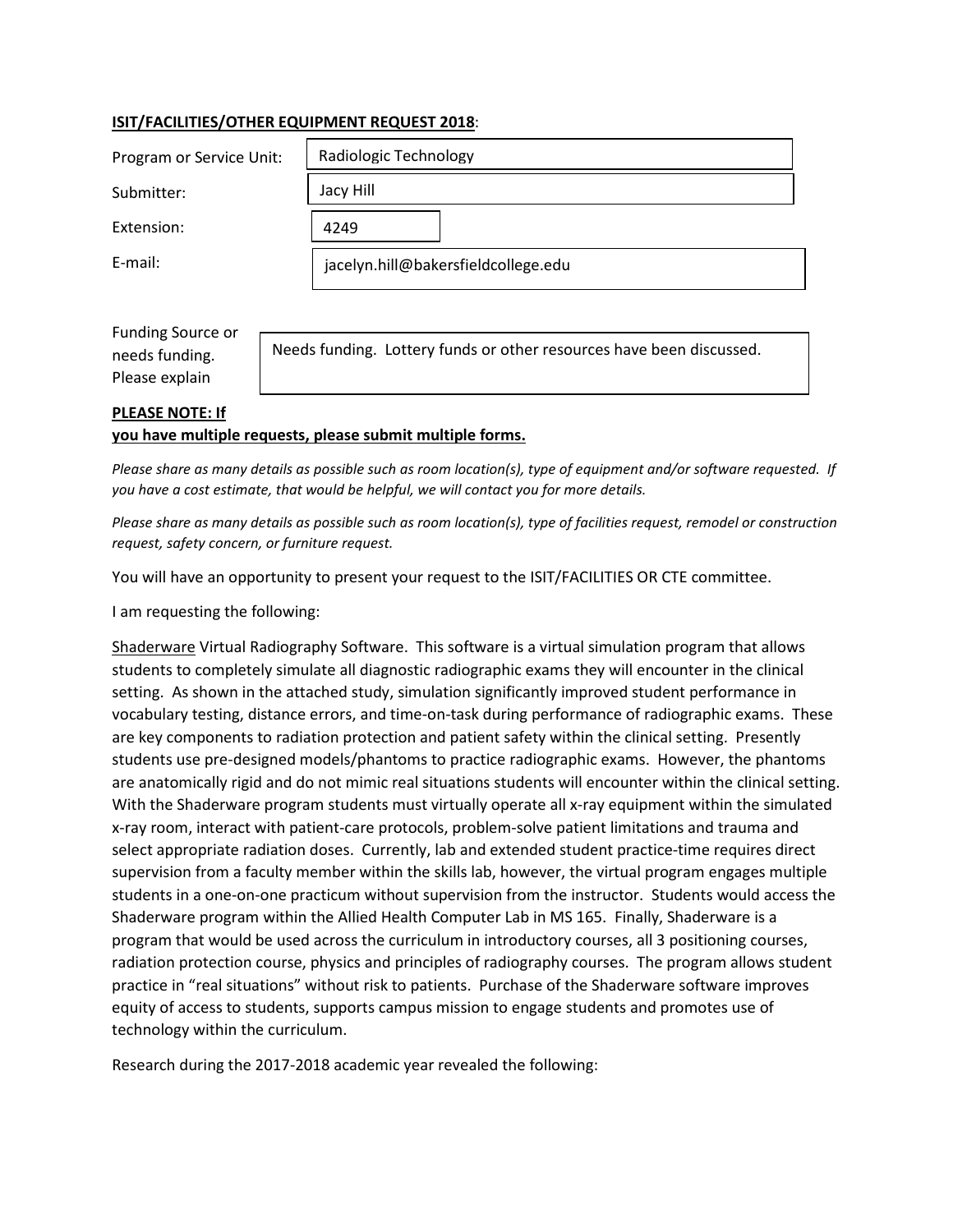## **ISIT/FACILITIES/OTHER EQUIPMENT REQUEST 2018**:

| Program or Service Unit: | Radiologic Technology               |
|--------------------------|-------------------------------------|
| Submitter:               | Jacy Hill                           |
| Extension:               | 4249                                |
| E-mail:                  | jacelyn.hill@bakersfieldcollege.edu |

| Funding Source or |                                                                      |
|-------------------|----------------------------------------------------------------------|
|                   |                                                                      |
| needs funding.    | Needs funding. Lottery funds or other resources have been discussed. |
| Please explain    |                                                                      |

## **PLEASE NOTE: If**

## **you have multiple requests, please submit multiple forms.**

*Please share as many details as possible such as room location(s), type of equipment and/or software requested. If you have a cost estimate, that would be helpful, we will contact you for more details.* 

*Please share as many details as possible such as room location(s), type of facilities request, remodel or construction request, safety concern, or furniture request.* 

You will have an opportunity to present your request to the ISIT/FACILITIES OR CTE committee.

I am requesting the following:

Shaderware Virtual Radiography Software. This software is a virtual simulation program that allows students to completely simulate all diagnostic radiographic exams they will encounter in the clinical setting. As shown in the attached study, simulation significantly improved student performance in vocabulary testing, distance errors, and time-on-task during performance of radiographic exams. These are key components to radiation protection and patient safety within the clinical setting. Presently students use pre-designed models/phantoms to practice radiographic exams. However, the phantoms are anatomically rigid and do not mimic real situations students will encounter within the clinical setting. With the Shaderware program students must virtually operate all x-ray equipment within the simulated x-ray room, interact with patient-care protocols, problem-solve patient limitations and trauma and select appropriate radiation doses. Currently, lab and extended student practice-time requires direct supervision from a faculty member within the skills lab, however, the virtual program engages multiple students in a one-on-one practicum without supervision from the instructor. Students would access the Shaderware program within the Allied Health Computer Lab in MS 165. Finally, Shaderware is a program that would be used across the curriculum in introductory courses, all 3 positioning courses, radiation protection course, physics and principles of radiography courses. The program allows student practice in "real situations" without risk to patients. Purchase of the Shaderware software improves equity of access to students, supports campus mission to engage students and promotes use of technology within the curriculum.

Research during the 2017-2018 academic year revealed the following: